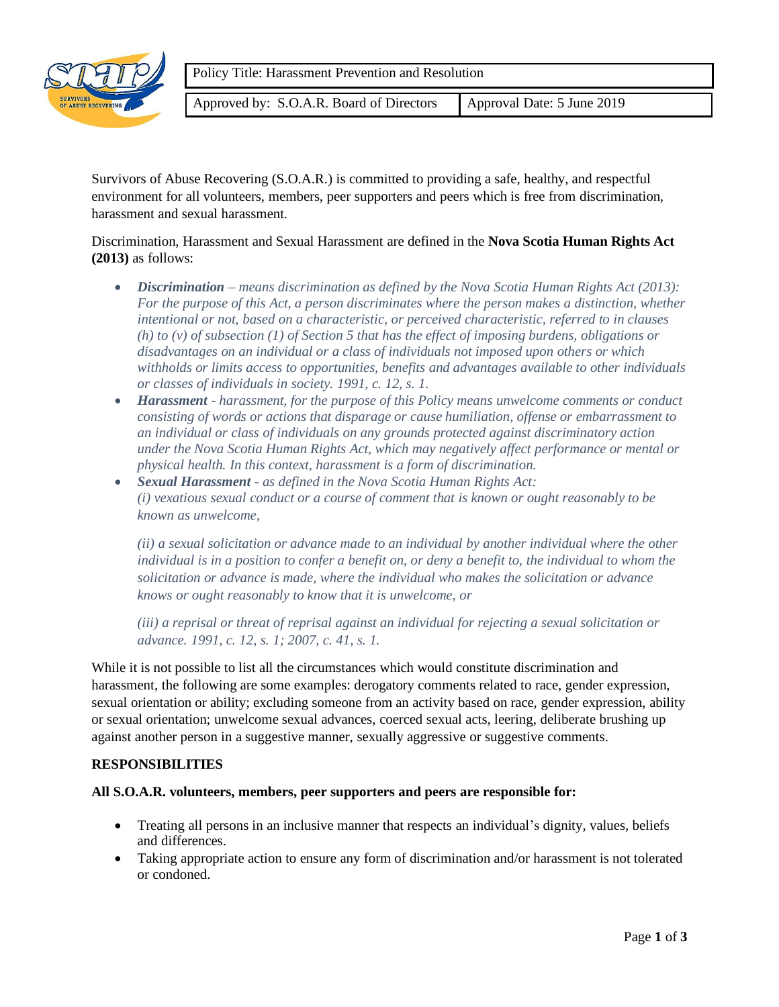

Approved by: S.O.A.R. Board of Directors | Approval Date: 5 June 2019

Survivors of Abuse Recovering (S.O.A.R.) is committed to providing a safe, healthy, and respectful environment for all volunteers, members, peer supporters and peers which is free from discrimination, harassment and sexual harassment.

Discrimination, Harassment and Sexual Harassment are defined in the **Nova Scotia Human Rights Act (2013)** as follows:

- *Discrimination – means discrimination as defined by the Nova Scotia Human Rights Act (2013): For the purpose of this Act, a person discriminates where the person makes a distinction, whether intentional or not, based on a characteristic, or perceived characteristic, referred to in clauses (h) to (v) of subsection (1) of Section 5 that has the effect of imposing burdens, obligations or disadvantages on an individual or a class of individuals not imposed upon others or which withholds or limits access to opportunities, benefits and advantages available to other individuals or classes of individuals in society. 1991, c. 12, s. 1.*
- *Harassment - harassment, for the purpose of this Policy means unwelcome comments or conduct consisting of words or actions that disparage or cause humiliation, offense or embarrassment to an individual or class of individuals on any grounds protected against discriminatory action under the Nova Scotia Human Rights Act, which may negatively affect performance or mental or physical health. In this context, harassment is a form of discrimination.*
- *Sexual Harassment - as defined in the Nova Scotia Human Rights Act: (i) vexatious sexual conduct or a course of comment that is known or ought reasonably to be known as unwelcome,*

*(ii) a sexual solicitation or advance made to an individual by another individual where the other individual is in a position to confer a benefit on, or deny a benefit to, the individual to whom the solicitation or advance is made, where the individual who makes the solicitation or advance knows or ought reasonably to know that it is unwelcome, or*

*(iii) a reprisal or threat of reprisal against an individual for rejecting a sexual solicitation or advance. 1991, c. 12, s. 1; 2007, c. 41, s. 1.*

While it is not possible to list all the circumstances which would constitute discrimination and harassment, the following are some examples: derogatory comments related to race, gender expression, sexual orientation or ability; excluding someone from an activity based on race, gender expression, ability or sexual orientation; unwelcome sexual advances, coerced sexual acts, leering, deliberate brushing up against another person in a suggestive manner, sexually aggressive or suggestive comments.

## **RESPONSIBILITIES**

#### **All S.O.A.R. volunteers, members, peer supporters and peers are responsible for:**

- Treating all persons in an inclusive manner that respects an individual's dignity, values, beliefs and differences.
- Taking appropriate action to ensure any form of discrimination and/or harassment is not tolerated or condoned.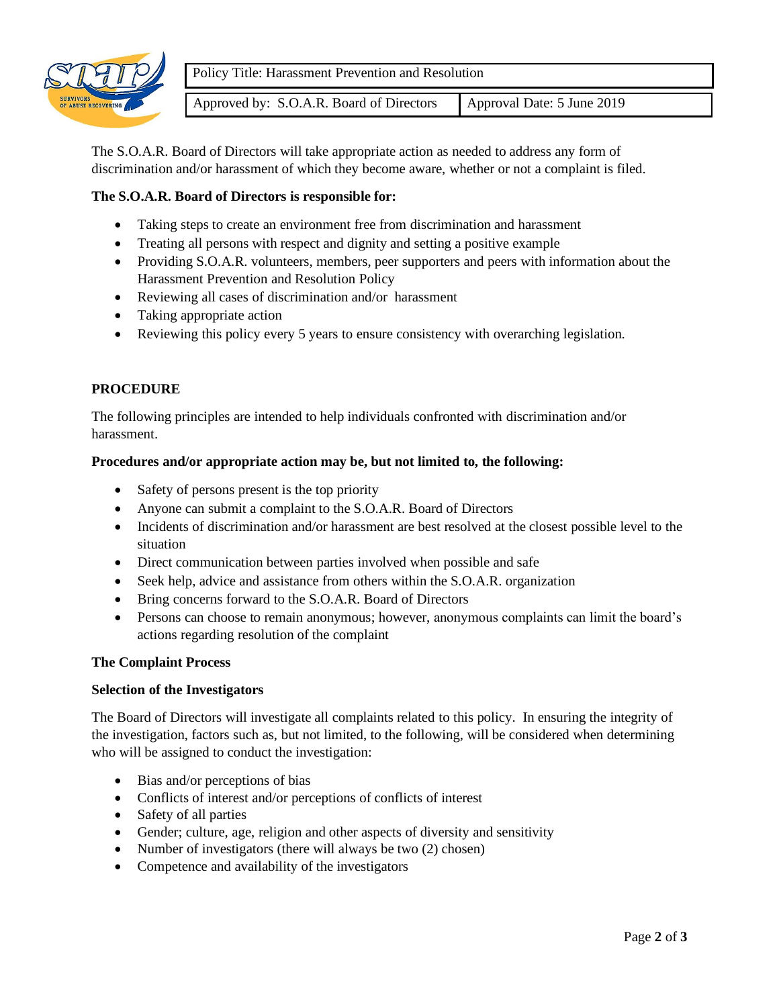

Approved by: S.O.A.R. Board of Directors | Approval Date: 5 June 2019

The S.O.A.R. Board of Directors will take appropriate action as needed to address any form of discrimination and/or harassment of which they become aware, whether or not a complaint is filed.

## **The S.O.A.R. Board of Directors is responsible for:**

- Taking steps to create an environment free from discrimination and harassment
- Treating all persons with respect and dignity and setting a positive example
- Providing S.O.A.R. volunteers, members, peer supporters and peers with information about the Harassment Prevention and Resolution Policy
- Reviewing all cases of discrimination and/or harassment
- Taking appropriate action
- Reviewing this policy every 5 years to ensure consistency with overarching legislation.

# **PROCEDURE**

The following principles are intended to help individuals confronted with discrimination and/or harassment.

### **Procedures and/or appropriate action may be, but not limited to, the following:**

- Safety of persons present is the top priority
- Anyone can submit a complaint to the S.O.A.R. Board of Directors
- Incidents of discrimination and/or harassment are best resolved at the closest possible level to the situation
- Direct communication between parties involved when possible and safe
- Seek help, advice and assistance from others within the S.O.A.R. organization
- Bring concerns forward to the S.O.A.R. Board of Directors
- Persons can choose to remain anonymous; however, anonymous complaints can limit the board's actions regarding resolution of the complaint

#### **The Complaint Process**

#### **Selection of the Investigators**

The Board of Directors will investigate all complaints related to this policy. In ensuring the integrity of the investigation, factors such as, but not limited, to the following, will be considered when determining who will be assigned to conduct the investigation:

- Bias and/or perceptions of bias
- Conflicts of interest and/or perceptions of conflicts of interest
- Safety of all parties
- Gender; culture, age, religion and other aspects of diversity and sensitivity
- Number of investigators (there will always be two (2) chosen)
- Competence and availability of the investigators